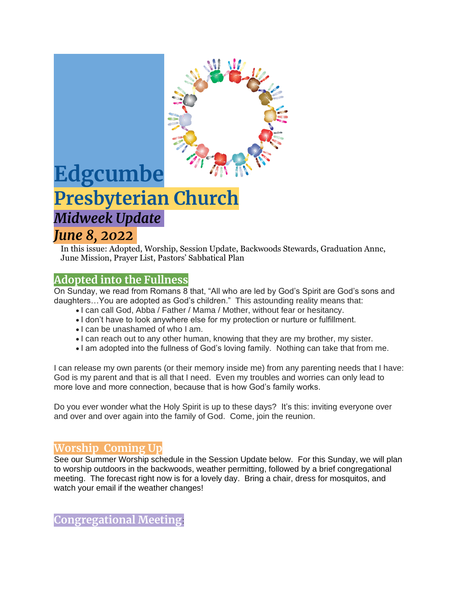

# **Edgcumbe Presbyterian Church** *Midweek Update*

# *June 8, 2022*

In this issue: Adopted, Worship, Session Update, Backwoods Stewards, Graduation Annc, June Mission, Prayer List, Pastors' Sabbatical Plan

# **Adopted into the Fullness**

On Sunday, we read from Romans 8 that, "All who are led by God's Spirit are God's sons and daughters…You are adopted as God's children." This astounding reality means that:

- I can call God, Abba / Father / Mama / Mother, without fear or hesitancy.
- I don't have to look anywhere else for my protection or nurture or fulfillment.
- I can be unashamed of who I am.
- I can reach out to any other human, knowing that they are my brother, my sister.
- I am adopted into the fullness of God's loving family. Nothing can take that from me.

I can release my own parents (or their memory inside me) from any parenting needs that I have: God is my parent and that is all that I need. Even my troubles and worries can only lead to more love and more connection, because that is how God's family works.

Do you ever wonder what the Holy Spirit is up to these days? It's this: inviting everyone over and over and over again into the family of God. Come, join the reunion.

# **Worship Coming Up**

See our Summer Worship schedule in the Session Update below. For this Sunday, we will plan to worship outdoors in the backwoods, weather permitting, followed by a brief congregational meeting. The forecast right now is for a lovely day. Bring a chair, dress for mosquitos, and watch your email if the weather changes!

**Congregational Meeting**: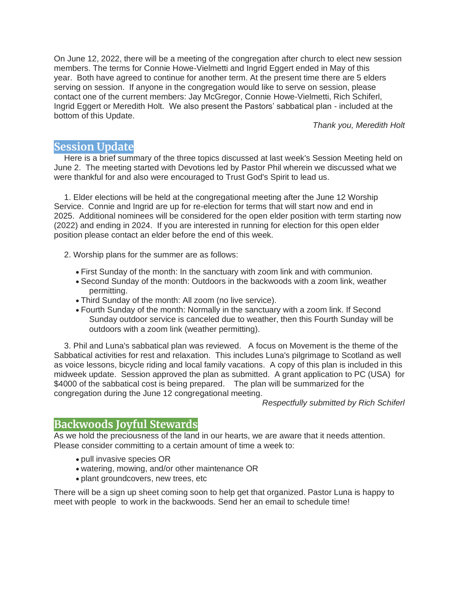On June 12, 2022, there will be a meeting of the congregation after church to elect new session members. The terms for Connie Howe-Vielmetti and Ingrid Eggert ended in May of this year. Both have agreed to continue for another term. At the present time there are 5 elders serving on session. If anyone in the congregation would like to serve on session, please contact one of the current members: Jay McGregor, Connie Howe-Vielmetti, Rich Schiferl, Ingrid Eggert or Meredith Holt. We also present the Pastors' sabbatical plan - included at the bottom of this Update.

*Thank you, Meredith Holt*

#### **Session Update**

Here is a brief summary of the three topics discussed at last week's Session Meeting held on June 2. The meeting started with Devotions led by Pastor Phil wherein we discussed what we were thankful for and also were encouraged to Trust God's Spirit to lead us.

1. Elder elections will be held at the congregational meeting after the June 12 Worship Service. Connie and Ingrid are up for re-election for terms that will start now and end in 2025. Additional nominees will be considered for the open elder position with term starting now (2022) and ending in 2024. If you are interested in running for election for this open elder position please contact an elder before the end of this week.

- 2. Worship plans for the summer are as follows:
	- First Sunday of the month: In the sanctuary with zoom link and with communion.
	- Second Sunday of the month: Outdoors in the backwoods with a zoom link, weather permitting.
	- Third Sunday of the month: All zoom (no live service).
	- Fourth Sunday of the month: Normally in the sanctuary with a zoom link. If Second Sunday outdoor service is canceled due to weather, then this Fourth Sunday will be outdoors with a zoom link (weather permitting).

3. Phil and Luna's sabbatical plan was reviewed. A focus on Movement is the theme of the Sabbatical activities for rest and relaxation. This includes Luna's pilgrimage to Scotland as well as voice lessons, bicycle riding and local family vacations. A copy of this plan is included in this midweek update. Session approved the plan as submitted. A grant application to PC (USA) for \$4000 of the sabbatical cost is being prepared. The plan will be summarized for the congregation during the June 12 congregational meeting.

*Respectfully submitted by Rich Schiferl*

#### **Backwoods Joyful Stewards**

As we hold the preciousness of the land in our hearts, we are aware that it needs attention. Please consider committing to a certain amount of time a week to:

- pull invasive species OR
- watering, mowing, and/or other maintenance OR
- plant groundcovers, new trees, etc

There will be a sign up sheet coming soon to help get that organized. Pastor Luna is happy to meet with people to work in the backwoods. Send her an email to schedule time!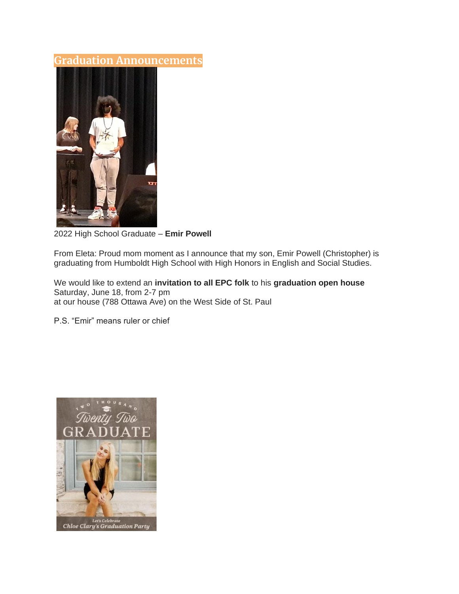#### **Graduation Announcements**



2022 High School Graduate – **Emir Powell**

From Eleta: Proud mom moment as I announce that my son, Emir Powell (Christopher) is graduating from Humboldt High School with High Honors in English and Social Studies.

We would like to extend an **invitation to all EPC folk** to his **graduation open house** Saturday, June 18, from 2-7 pm at our house (788 Ottawa Ave) on the West Side of St. Paul

P.S. "Emir" means ruler or chief

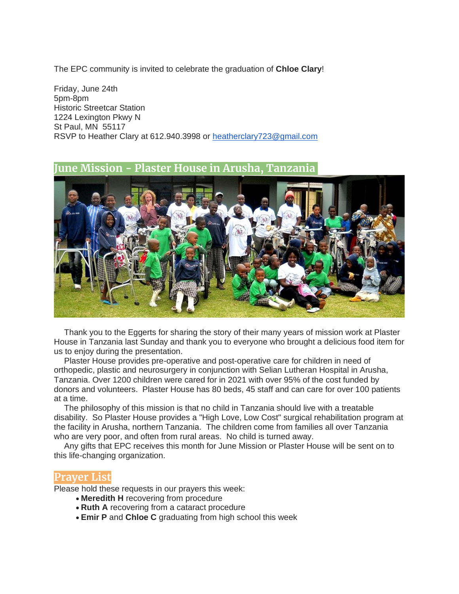The EPC community is invited to celebrate the graduation of **Chloe Clary**!

Friday, June 24th 5pm-8pm Historic Streetcar Station 1224 Lexington Pkwy N St Paul, MN 55117 RSVP to Heather Clary at 612.940.3998 or [heatherclary723@gmail.com](mailto:heatherclary723@gmail.com)

#### **June Mission - Plaster House in Arusha, Tanzania**



Thank you to the Eggerts for sharing the story of their many years of mission work at Plaster House in Tanzania last Sunday and thank you to everyone who brought a delicious food item for us to enjoy during the presentation.

Plaster House provides pre-operative and post-operative care for children in need of orthopedic, plastic and neurosurgery in conjunction with Selian Lutheran Hospital in Arusha, Tanzania. Over 1200 children were cared for in 2021 with over 95% of the cost funded by donors and volunteers. Plaster House has 80 beds, 45 staff and can care for over 100 patients at a time.

The philosophy of this mission is that no child in Tanzania should live with a treatable disability. So Plaster House provides a "High Love, Low Cost" surgical rehabilitation program at the facility in Arusha, northern Tanzania. The children come from families all over Tanzania who are very poor, and often from rural areas. No child is turned away.

Any gifts that EPC receives this month for June Mission or Plaster House will be sent on to this life-changing organization.

#### **Prayer List**

Please hold these requests in our prayers this week:

- **Meredith H** recovering from procedure
- **Ruth A** recovering from a cataract procedure
- **Emir P** and **Chloe C** graduating from high school this week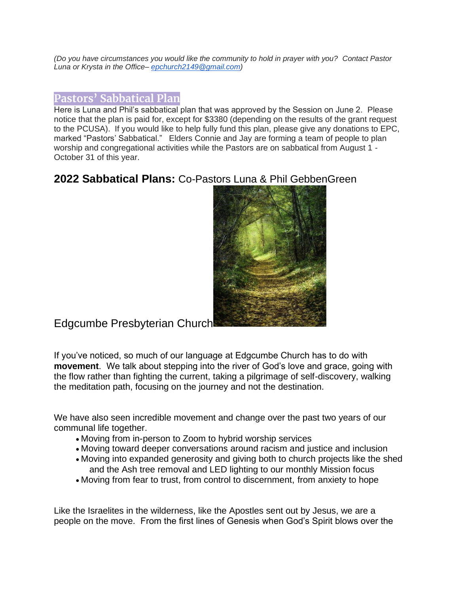*(Do you have circumstances you would like the community to hold in prayer with you? Contact Pastor Luna or Krysta in the Office– [epchurch2149@gmail.com\)](mailto:epchurch2149@gmail.com)*

#### **Pastors' Sabbatical Plan**

Here is Luna and Phil's sabbatical plan that was approved by the Session on June 2. Please notice that the plan is paid for, except for \$3380 (depending on the results of the grant request to the PCUSA). If you would like to help fully fund this plan, please give any donations to EPC, marked "Pastors' Sabbatical." Elders Connie and Jay are forming a team of people to plan worship and congregational activities while the Pastors are on sabbatical from August 1 - October 31 of this year.

# **2022 Sabbatical Plans:** Co-Pastors Luna & Phil GebbenGreen



Edgcumbe Presbyterian Church

If you've noticed, so much of our language at Edgcumbe Church has to do with **movement**. We talk about stepping into the river of God's love and grace, going with the flow rather than fighting the current, taking a pilgrimage of self-discovery, walking the meditation path, focusing on the journey and not the destination.

We have also seen incredible movement and change over the past two years of our communal life together.

- Moving from in-person to Zoom to hybrid worship services
- Moving toward deeper conversations around racism and justice and inclusion
- Moving into expanded generosity and giving both to church projects like the shed and the Ash tree removal and LED lighting to our monthly Mission focus
- Moving from fear to trust, from control to discernment, from anxiety to hope

Like the Israelites in the wilderness, like the Apostles sent out by Jesus, we are a people on the move. From the first lines of Genesis when God's Spirit blows over the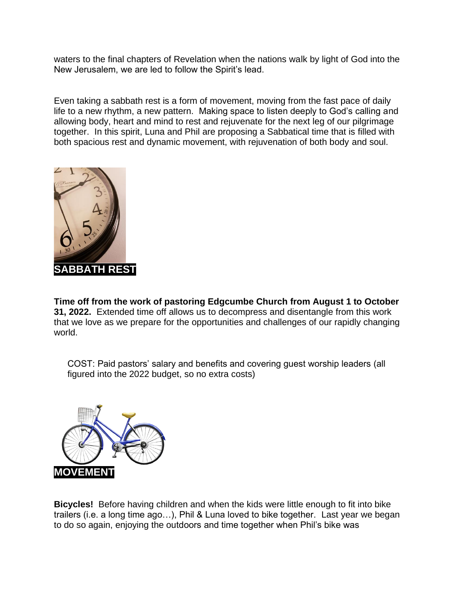waters to the final chapters of Revelation when the nations walk by light of God into the New Jerusalem, we are led to follow the Spirit's lead.

Even taking a sabbath rest is a form of movement, moving from the fast pace of daily life to a new rhythm, a new pattern. Making space to listen deeply to God's calling and allowing body, heart and mind to rest and rejuvenate for the next leg of our pilgrimage together. In this spirit, Luna and Phil are proposing a Sabbatical time that is filled with both spacious rest and dynamic movement, with rejuvenation of both body and soul.



**Time off from the work of pastoring Edgcumbe Church from August 1 to October 31, 2022.** Extended time off allows us to decompress and disentangle from this work that we love as we prepare for the opportunities and challenges of our rapidly changing world.

COST: Paid pastors' salary and benefits and covering guest worship leaders (all figured into the 2022 budget, so no extra costs)



**Bicycles!** Before having children and when the kids were little enough to fit into bike trailers (i.e. a long time ago…), Phil & Luna loved to bike together. Last year we began to do so again, enjoying the outdoors and time together when Phil's bike was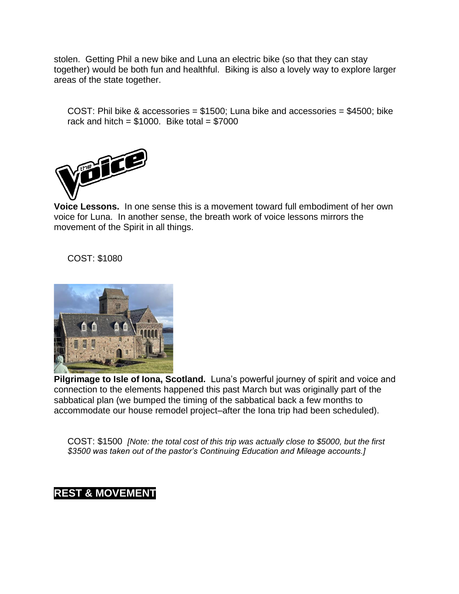stolen. Getting Phil a new bike and Luna an electric bike (so that they can stay together) would be both fun and healthful. Biking is also a lovely way to explore larger areas of the state together.

COST: Phil bike & accessories = \$1500; Luna bike and accessories = \$4500; bike rack and hitch =  $$1000$ . Bike total =  $$7000$ 



**Voice Lessons.** In one sense this is a movement toward full embodiment of her own voice for Luna. In another sense, the breath work of voice lessons mirrors the movement of the Spirit in all things.

COST: \$1080



**Pilgrimage to Isle of Iona, Scotland.** Luna's powerful journey of spirit and voice and connection to the elements happened this past March but was originally part of the sabbatical plan (we bumped the timing of the sabbatical back a few months to accommodate our house remodel project–after the Iona trip had been scheduled).

COST: \$1500 *[Note: the total cost of this trip was actually close to \$5000, but the first \$3500 was taken out of the pastor's Continuing Education and Mileage accounts.]*

# **REST & MOVEMENT**